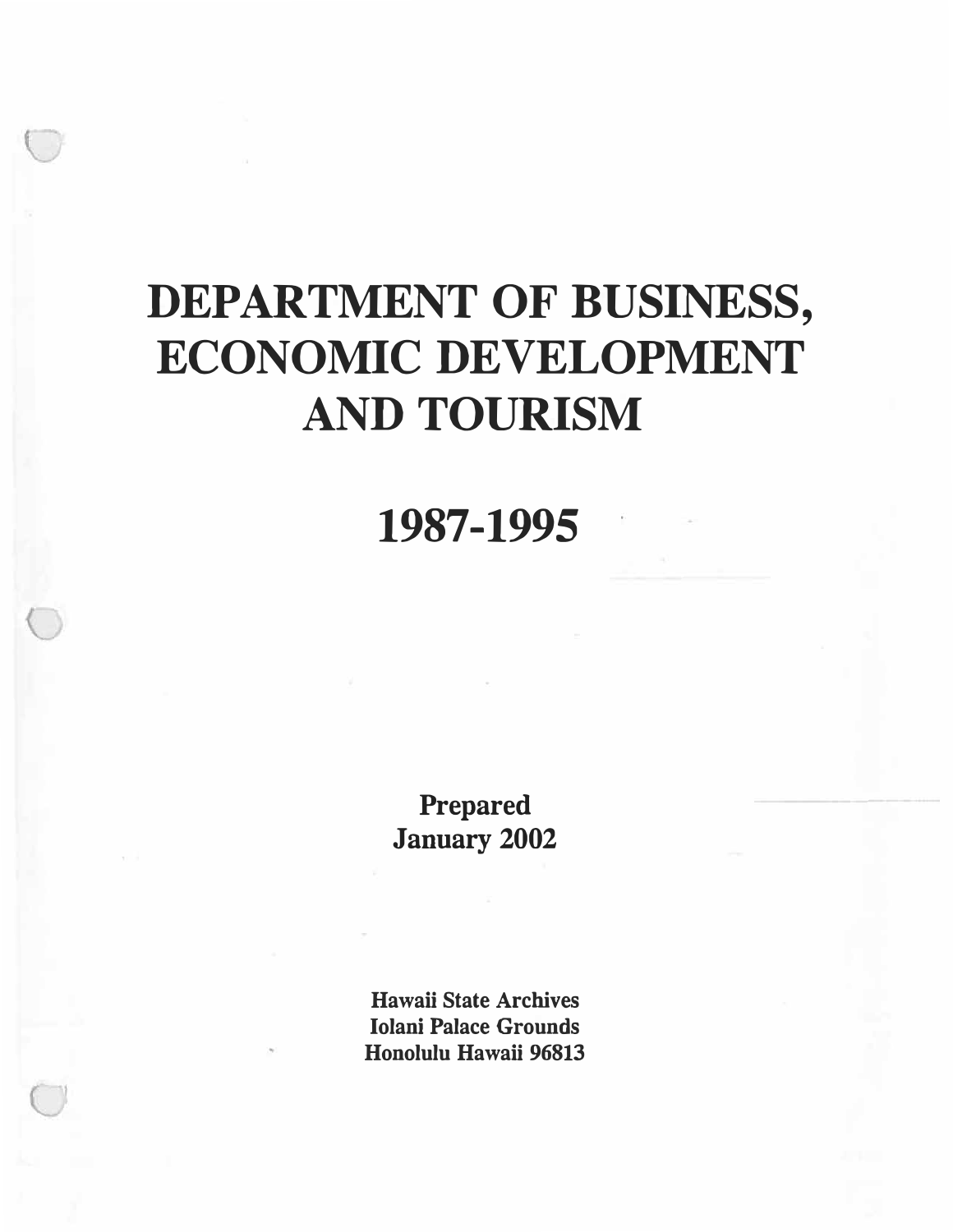## **1987-1995**

**Prepared January 2002** 

**Hawaii State Archives Iolani Palace Grounds Honolulu Hawaii 96813**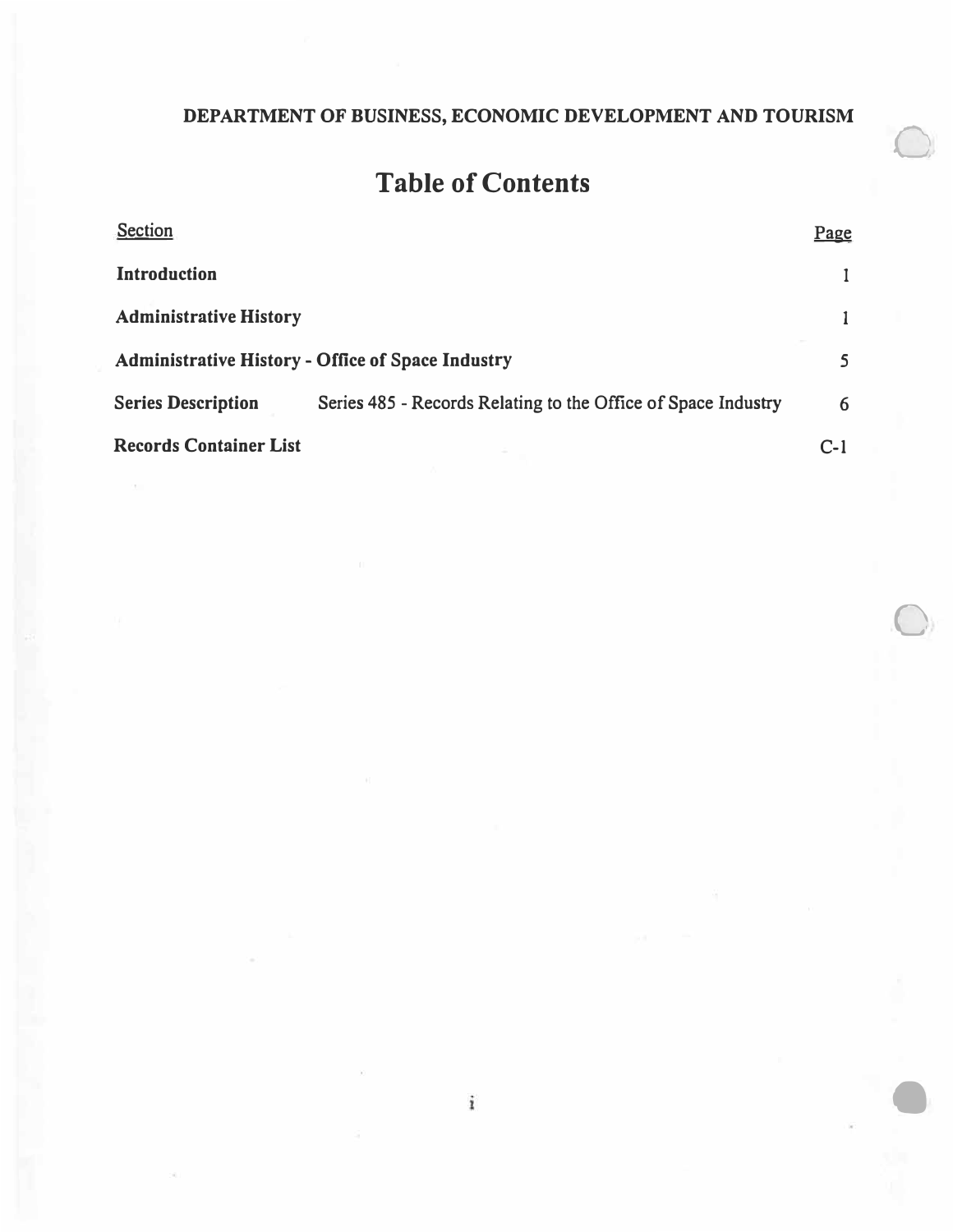$\bigcirc$ 

 $\bigcirc$ 

 $\bullet$ 

## **Table of Contents**

| Section                                                  |                                                               | Page  |
|----------------------------------------------------------|---------------------------------------------------------------|-------|
| <b>Introduction</b>                                      |                                                               |       |
| <b>Administrative History</b>                            |                                                               |       |
| <b>Administrative History - Office of Space Industry</b> |                                                               |       |
| <b>Series Description</b>                                | Series 485 - Records Relating to the Office of Space Industry | 6     |
| <b>Records Container List</b>                            |                                                               | $C-1$ |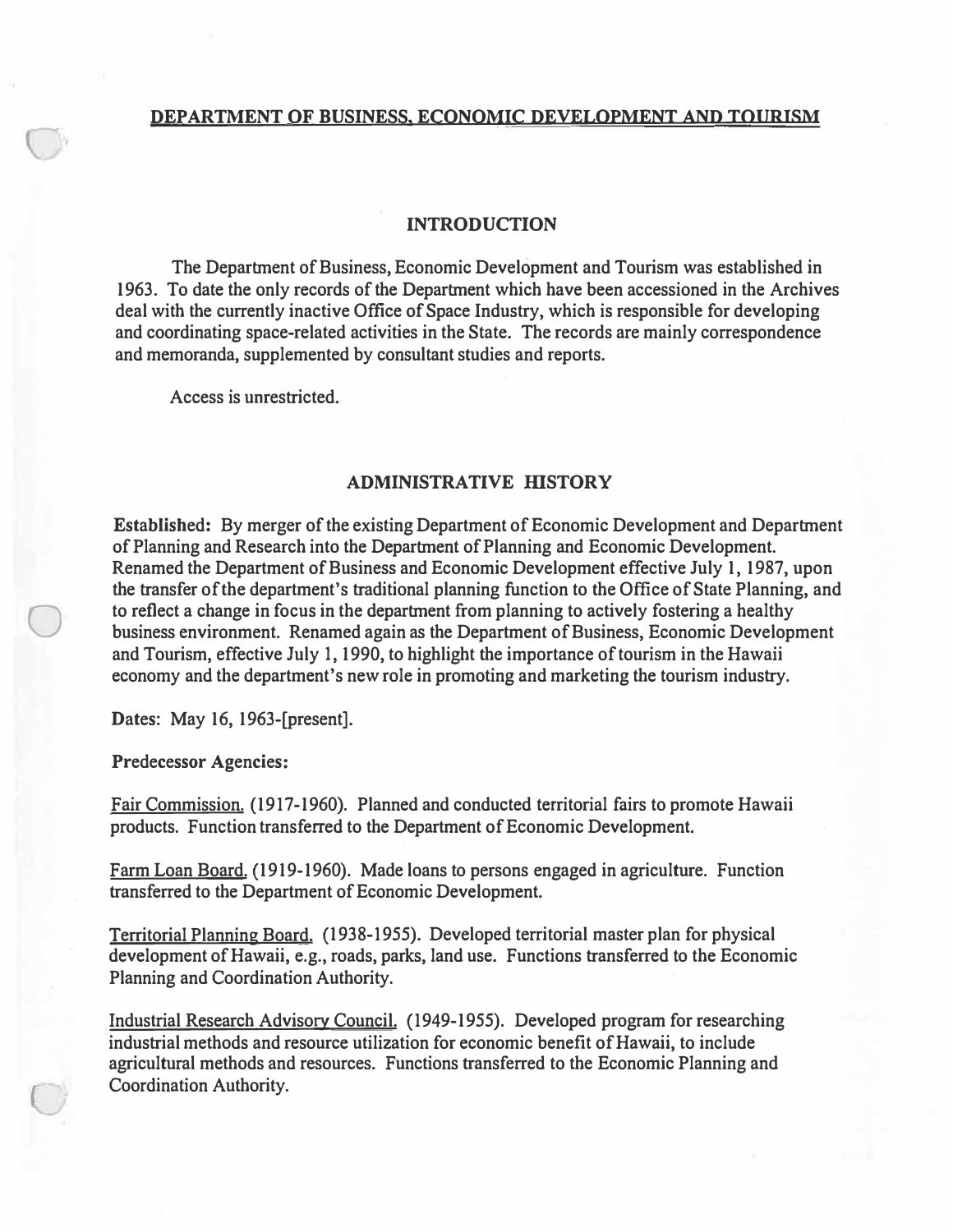#### **INTRODUCTION**

**The Department of Business, Economic Development and Tourism was established in 1963. To date the only records of the Department which have been accessioned in the Archives deal with the currently inactive Office of Space Industry, which is responsible for developing and coordinating space-related activities in the State. The records are mainly correspondence and memoranda, supplemented by consultant studies and reports.** 

**Access is unrestricted.** 

#### **ADMINISTRATIVE HISTORY**

**Established: By merger of the existing Department of Economic Development and Department of Planning and Research into the Department of Planning and Economic Development. Renamed the Department of Business and Economic Development effective July 1, 1987, upon the transfer of the department's traditional planning function to the Office of State Planning, and to reflect a change in focus in the department from planning to actively fostering a healthy business environment. Renamed again as the Department of Business, Economic Development and Tourism, effective July l, 1990, to highlight the importance of tourism in the Hawaii economy and the department's new role in promoting and marketing the tourism industry.** 

**Dates: May 16, 1963-[present].** 

**Predecessor Agencies:** 

 $\bigcirc$ 

**Fair Commission. (1917-1960). Planned and conducted territorial fairs to promote Hawaii products. Function transferred to the Department of Economic Development.** 

**Farm Loan Board. {1919-1960). Made loans to persons engaged in agriculture. Function transferred to the Department of Economic Development.** 

**Territorial Planning Board. {1938-1955). Developed territorial master plan for physical development of Hawaii, e.g., roads, parks, land use. Functions transferred to the Economic Planning and Coordination Authority.** 

**Industrial Research Advisory Council. {1949-1955). Developed program for researching industrial methods and resource utilization for economic benefit of Hawaii, to include agricultural methods and resources. Functions transferred to the Economic Planning and Coordination Authority.**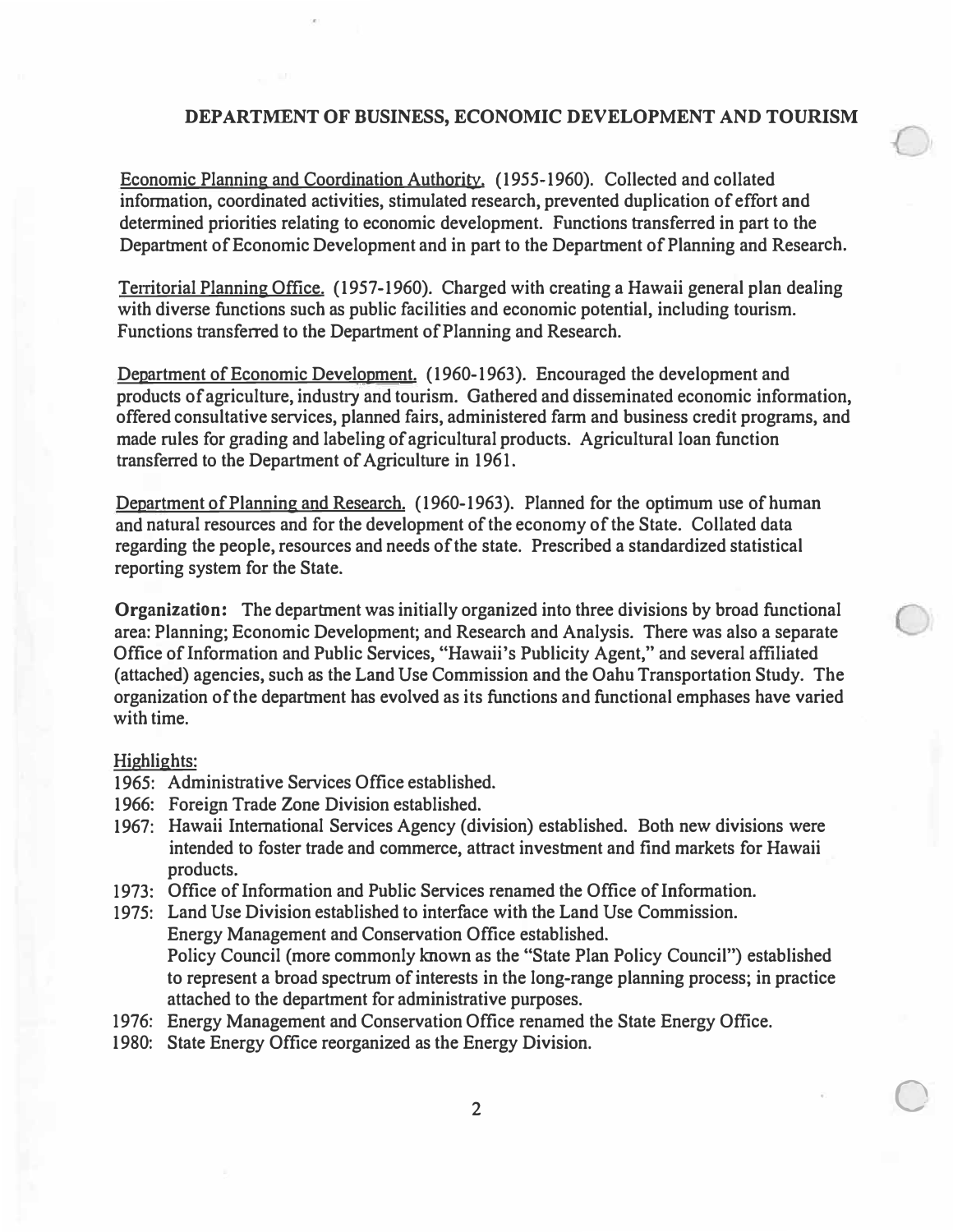**Economic Planning and Coordination Authority. (1955-1960). Collected and collated information, coordinated activities, stimulated research, prevented duplication of effort and determined priorities relating to economic development. Functions transferred in part to the Department of Economic Development and in part to the Department of Planning and Research.** 

**Territorial Planning Office. (1957-1960). Charged with creating a Hawaii general plan dealing with diverse functions such as public facilities and economic potential, including tourism. Functions transferred to the Department of Planning and Research.** 

**Department of Economic Development. (1960-1963). Encouraged the development and products of agriculture, industry and tourism. Gathered and disseminated economic information, offered consultative services, planned fairs, administered farm and business credit programs, and made rules for grading and labeling of agricultural products. Agricultural loan function transferred to the Department of Agriculture in 1961.** 

**Department of Planning and Research. (1960-1963). Planned for the optimum use of human and natural resources and for the development of the economy of the State. Collated data regarding the people, resources and needs of the state. Prescribed a standardized statistical reporting system for the State.** 

**Organization: The department was initially organized into three divisions by broad functional area: Planning; Economic Development; and Research and Analysis. There was also a separate**  Office of Information and Public Services, "Hawaii's Publicity Agent," and several affiliated **(attached) agencies, such as the Land Use Commission and the Oahu Transportation Study. The organization of the department has evolved as its functions and functional emphases have varied with time.** 

#### **Highlights:**

- **1965: Administrative Services Office established.**
- **1966: Foreign Trade Zone Division established.**
- **1967: Hawaii International Services Agency (division) established. Both new divisions were intended to foster trade and commerce, attract investment and find markets for Hawaii products.**
- **1973: Office of Information and Public Services renamed the Office of Information.**
- **1975: Land Use Division established to interface with the Land Use Commission. Energy Management and Conservation Office established. Policy Council (more commonly known as the "State Plan Policy Council") established to represent a broad spectrum of interests in the long-range planning process; in practice attached to the department for administrative purposes.**
- **1976: Energy Management and Conservation Office renamed the State Energy Office.**
- **1980: State Energy Office reorganized as the Energy Division.**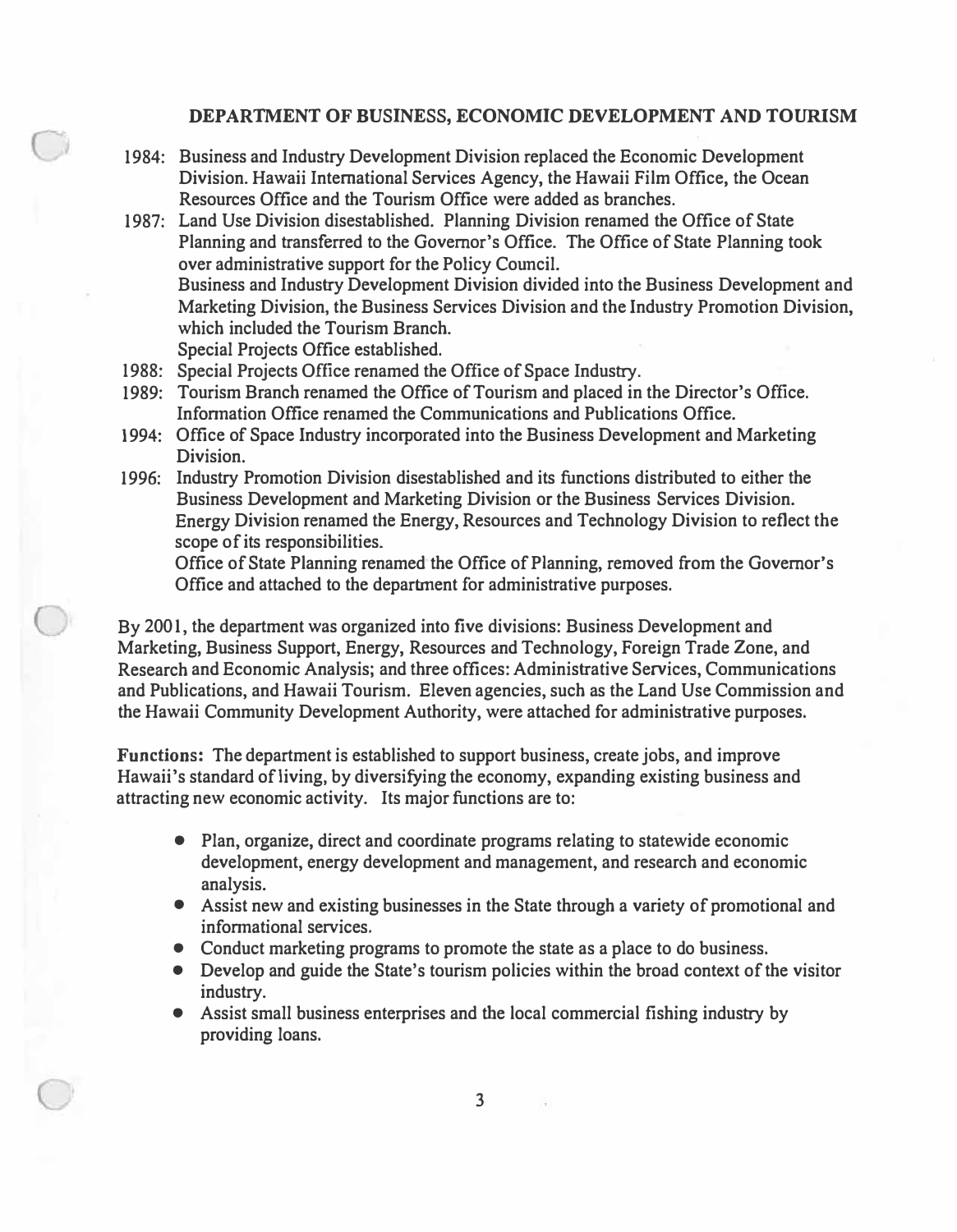- **1984: Business and Industry Development Division replaced the Economic Development Division. Hawaii International Services Agency, the Hawaii Film Office, the Ocean Resources Office and the Tourism Office were added as branches.**
- **1987: Land Use Division disestablished. Planning Division renamed the Office of State Planning and transferred to the Governor's Office. The Office of State Planning took over administrative support for the Policy Council. Business and Industry Development Division divided into the Business Development and Marketing Division, the Business Services Division and the Industry Promotion Division, which included the Tourism Branch. Special Projects Office established.**
- **1988: Special Projects Office renamed the Office of Space Industry.**
- **1989: Tourism Branch renamed the Office of Tourism and placed in the Director's Office.**  Information Office renamed the Communications and Publications Office.
- **1994: Office of Space Industry incorporated into the Business Development and Marketing Division.**
- **1996: Industry Promotion Division disestablished and its functions distributed to either the Business Development and Marketing Division or the Business Services Division. Energy Division renamed the Energy, Resources and Technology Division to reflect the scope of its responsibilities.**

**Office of State Planning renamed the Office of Planning, removed from the Governor's Office and attached to the department for administrative purposes.** 

**By 200 I, the department was organized into five divisions: Business Development and Marketing, Business Support, Energy, Resources and Technology, Foreign Trade Zone, and Research and Economic Analysis; and three offices: Administrative Services, Communications and Publications, and Hawaii Tourism. Eleven agencies, such as the Land Use Commission and the Hawaii Community Development Authority, were attached for administrative purposes.** 

**Functions: The department is established to support business, create jobs, and improve Hawaii's standard of living, by diversifying the economy, expanding existing business and attracting new economic activity. Its major functions are to:** 

- **Plan, organize, direct and coordinate programs relating to statewide economic development, energy development and management, and research and economic analysis.**
- **Assist new and existing businesses in the State through a variety of promotional and**  informational services.
- **Conduct marketing programs to promote the state as a place to do business.**
- **Develop and guide the State's tourism policies within the broad context of the visitor industry.**
- **Assist small business enterprises and the local commercial fishing industry by providing loans.**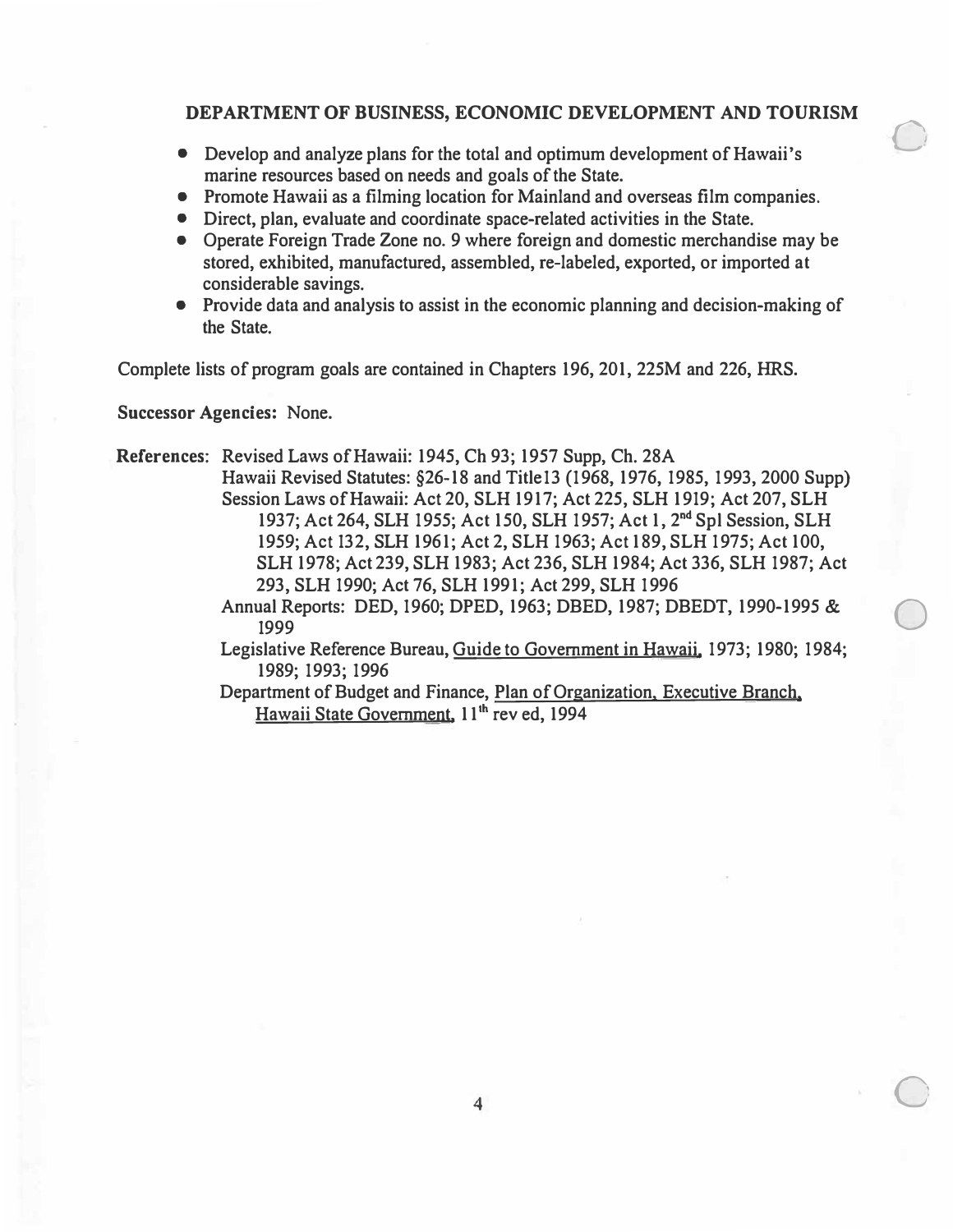$\bigcirc$ 

- **Develop and analyze plans for the total and optimum development of Hawaii's marine resources based on needs and goals of the State.**
- **Promote Hawaii as a filming location for Mainland and overseas film companies.**
- **Direct, plan, evaluate and coordinate space-related activities in the State.**
- **Operate Foreign Trade Zone no. 9 where foreign and domestic merchandise may be stored, exhibited, manufactured, assembled, re-labeled, exported, or imported at considerable savings.**
- **Provide data and analysis to assist in the economic planning and decision-making of the State.**

**Complete lists of program goals are contained in Chapters 196,201, 225M and 226, HRS.** 

**Successor Agencies: None.** 

**References: Revised Laws of Hawaii: 1945, Ch 93; 1957 Supp, Ch. 28A Hawaii Revised Statutes: §26-18 and Title13 (1968, 1976, 1985, 1993, 2000 Supp) Session Laws of Hawaii: Act 20, SLH 1917; Act 225, SLH 1919; Act 207, SLH**  1937; Act 264, SLH 1955; Act 150, SLH 1957; Act 1, 2<sup>nd</sup> Spl Session, SLH **1959; Act 132, SLH 1961; Act 2, SLH 1963; Act 189, SLH 1975; Act 100, SLH 1978; Act 239, SLH 1983; Act 236, SLH 1984; Act 336, SLH 1987; Act 293, SLH 1990; Act 76, SLH 1991; Act 299, SLH 1996 Annual Reports: DED, 1960; DPED, 1963; DBED, 1987; DBEDT, 1990-1995 & <sup>1999</sup>**0 **Legislative Reference Bureau, Guide to Government in Hawaii, 1973; 1980; 1984; 1989; 1993; 1996 Department of Budget and Finance, Plan of Organization, Executive Branch, Hawaii State Government, 11 'h rev ed, 1994**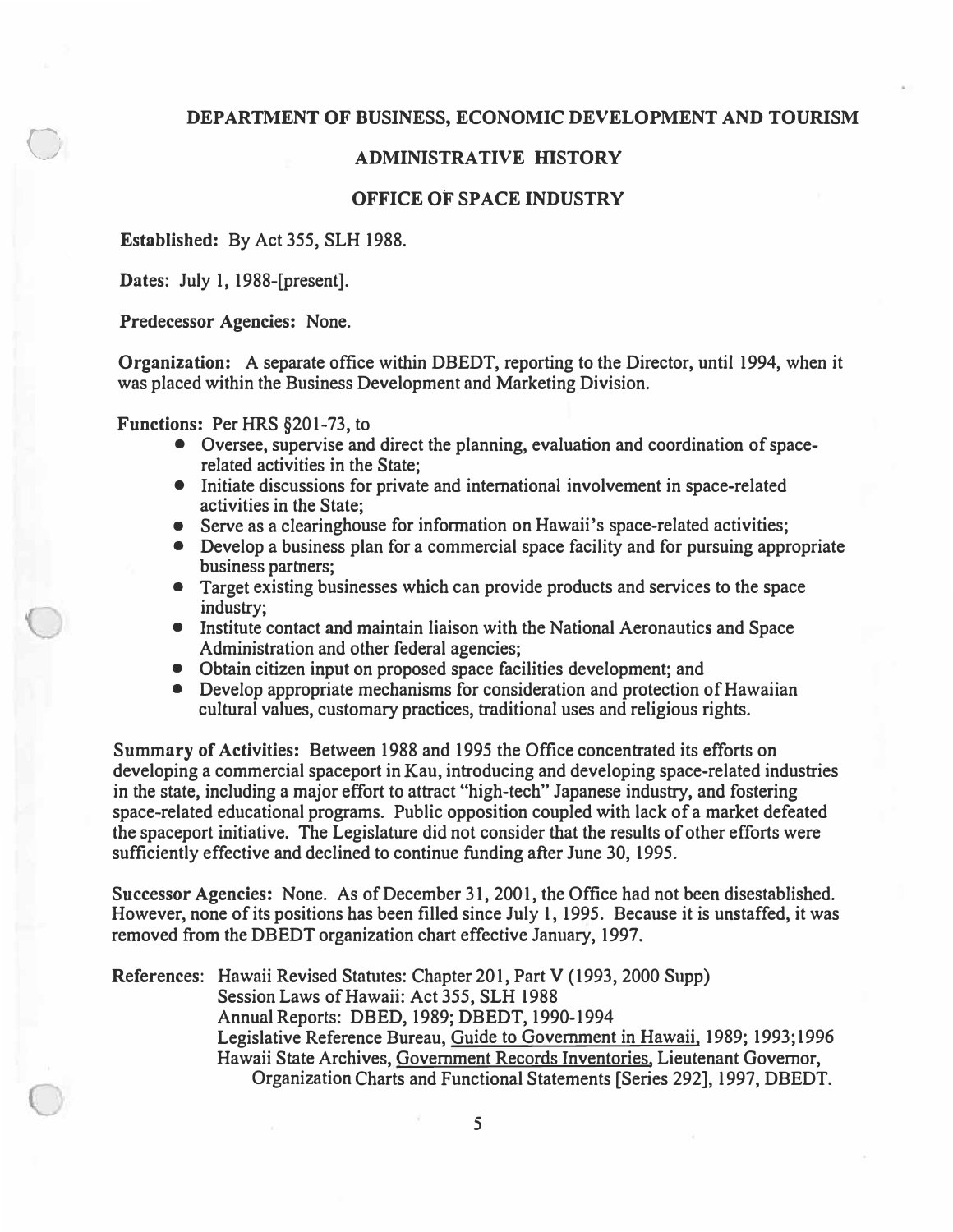#### **ADMINISTRATIVE HISTORY**

#### **OFFICE OF SPACE INDUSTRY**

**Established: By Act 355, SLH 1988.** 

**Dates: July 1, 1988-[present].** 

 $\bigcirc$ 

**Predecessor Agencies: None.** 

**Organization: A separate office within DBEDT, reporting to the Director, until 1994, when it was placed within the Business Development and Marketing Division.** 

**Functions: Per HRS §201-73, to** 

- **Oversee, supervise and direct the planning, evaluation and coordination of spacerelated activities in the State;**
- **Initiate discussions for private and international involvement in space-related activities in the State;**
- **Serve as a clearinghouse for information on Hawaii's space-related activities;**
- **Develop a business plan for a commercial space facility and for pursuing appropriate business partners;**
- **Target existing businesses which can provide products and services to the space industry;**
- **Institute contact and maintain liaison with the National Aeronautics and Space Administration and other federal agencies;**
- **Obtain citizen input on proposed space facilities development; and**
- **Develop appropriate mechanisms for consideration and protection of Hawaiian cultural values, customary practices, traditional uses and religious rights.**

**Summary of Activities: Between 1988 and 1995 the Office concentrated its efforts on developing a commercial spaceport in Kau, introducing and developing space-related industries in the state, including a major effort to attract "high-tech" Japanese industry, and fostering space-related educational programs. Public opposition coupled with lack of a market defeated the spaceport initiative. The Legislature did not consider that the results of other efforts were sufficiently effective and declined to continue funding after June 30, 1995.** 

**Successor Agencies: None. As of December 31, 2001, the Office had not been disestablished. However, none of its positions has been filled since July 1, 1995. Because it is unstaffed, it was removed from the DBEDT organization chart effective January, 1997.** 

**References: Hawaii Revised Statutes: Chapter 201, Part V (1993, 2000 Supp) Session Laws of Hawaii: Act 355, SLH 1988 Annual Reports: DBED, 1989; DBEDT, 1990-1994 Legislative Reference Bureau, Guide to Government in Hawaii, 1989; 1993;1996 Hawaii State Archives, Government Records Inventories, Lieutenant Governor, Organization Charts and Functional Statements [Series 292], 1997, DBEDT.**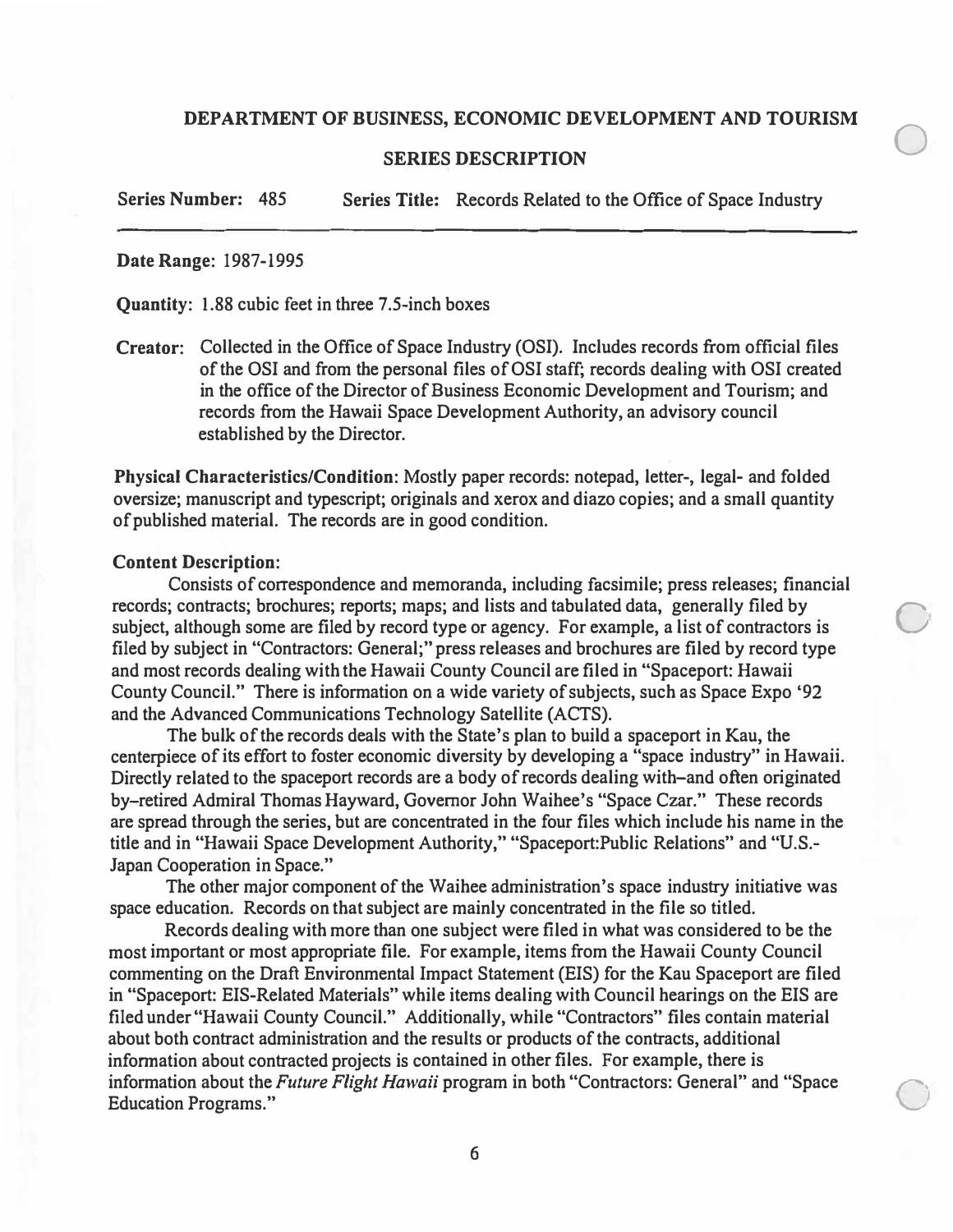$\bigcirc$ 

 $\bigcirc$ 

 $\bigcirc$ 

#### **SERIES DESCRIPTION**

**Series Number:** 485 **Series Title:** Records Related to the Office of Space Industry

#### **Date Range:** 1987-1995

**Quantity:** 1.88 cubic feet in three 7.5-inch boxes

**Creator:** Collected in the Office of Space Industry (OSI). Includes records from official files of the OSI and from the personal files of OSI staff; records dealing with OSI created in the office of the Director of Business Economic Development and Tourism; and records from the Hawaii Space Development Authority, an advisory council established by the Director.

**Physical Characteristics/Condition:** Mostly paper records: notepad, letter-, legal- and folded oversize; manuscript and typescript; originals and xerox and diazo copies; and a small quantity of published material. The records are in good condition.

#### **Content Description:**

Consists of correspondence and memoranda, including facsimile; press releases; financial records; contracts; brochures; reports; maps; and lists and tabulated data, generally filed by subject, although some are filed by record type or agency. For example, a list of contractors is filed by subject in "Contractors: General;" press releases and brochures are filed by record type and most records dealing with the Hawaii County Council are filed in "Spaceport: Hawaii County Council." There is information on a wide variety of subjects, such as Space Expo '92 and the Advanced Communications Technology Satellite (ACTS).

The bulk of the records deals with the State's plan to build a spaceport in Kau, the centerpiece of its effort to foster economic diversity by developing a "space industry" in Hawaii. Directly related to the spaceport records are a body of records dealing with-and often originated by-retired Admiral Thomas Hayward, Governor John Waihee's "Space Czar." These records are spread through the series, but are concentrated in the four files which include his name in the title and in "Hawaii Space Development Authority," "Spaceport:Public Relations" and "U.S. Japan Cooperation in Space."

The other major component of the Waihee administration's space industry initiative was space education. Records on that subject are mainly concentrated in the file so titled.

Records dealing with more than one subject were filed in what was considered to be the most important or most appropriate file. For example, items from the Hawaii County Council commenting on the Draft Environmental Impact Statement (EIS) for the Kau Spaceport are filed in "Spaceport: EIS-Related Materials" while items dealing with Council hearings on the EIS are filed under "Hawaii County Council." Additionally, while "Contractors" files contain material about both contract administration and the results or products of the contracts, additional information about contracted projects is contained in other files. For example, there is information about the *Future Flight Hawaii* program in both "Contractors: General" and "Space Education Programs."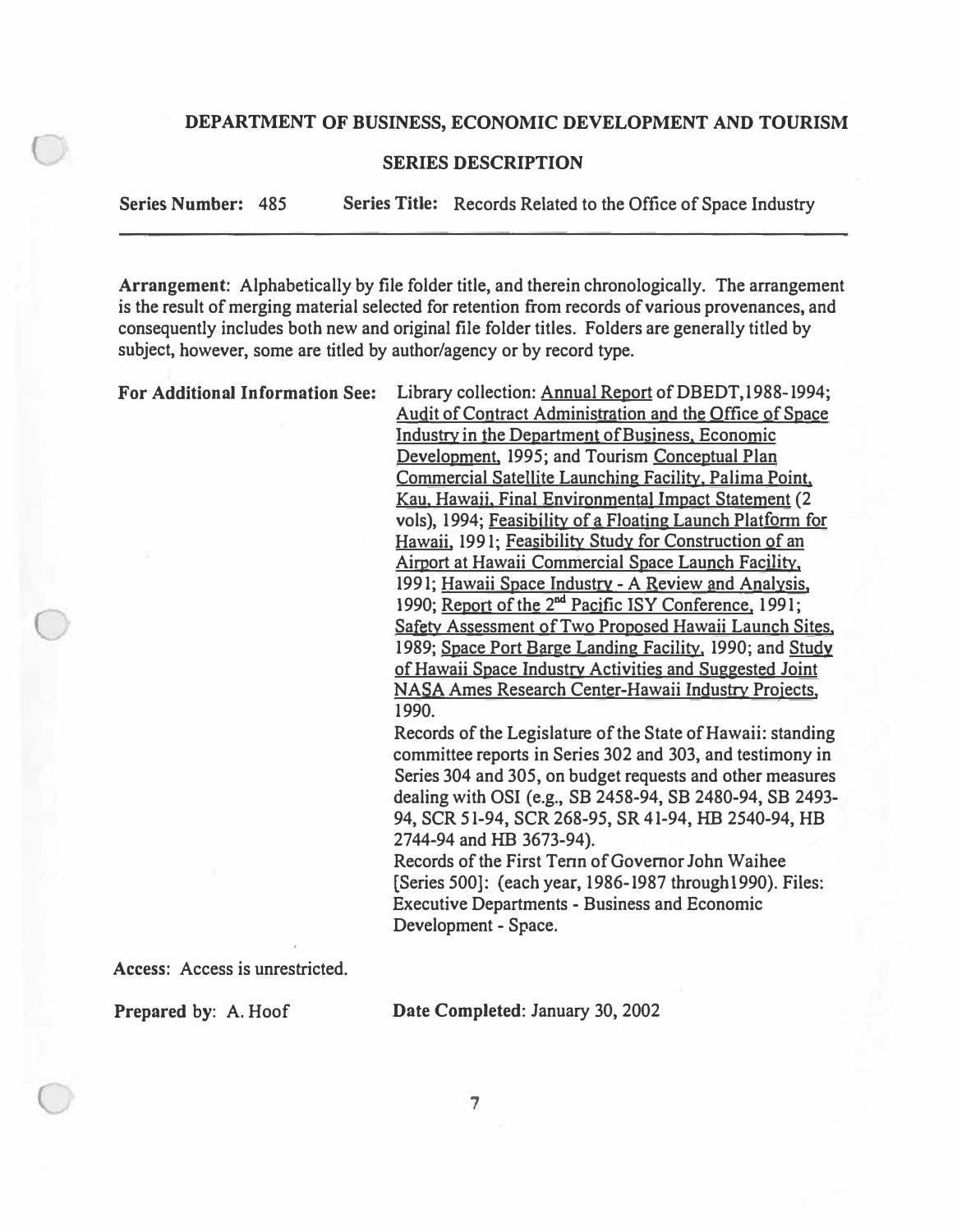#### **SERIES DESCRIPTION**

**Series Number:** 485 **Series Title:** Records Related to the Office of Space Industry

**Arrangement:** Alphabetically by file folder title, and therein chronologically. The arrangement is the result of merging material selected for retention from records of various provenances, and consequently includes both new and original file folder titles. Folders are generally titled by subject, however, some are titled by author/agency or by record type.

For Additional Information See: Library collection: **Annual Report of DBEDT**,1988-1994;

Audit of Contract Administration and the Office of Space Industry in the Department of Business, Economic Development, 1995; and Tourism Conceptual Plan Commercial Satellite Launching Facility, Palima Point, Kau, Hawaii, Final Environmental Impact Statement (2 vols), 1994; Feasibility of a Floating Launch Platform for Hawaii, 1991; Feasibility Study for Construction of an Airport at Hawaii Commercial Space Launch Facility, 1991; Hawaii Space Industry- A Review and Analysis, 1990; Report of the 2<sup>nd</sup> Pacific ISY Conference, 1991; Safety Assessment of Two Proposed Hawaii Launch Sites, 1989; Space Port Barge Landing Facility, 1990; and Study of Hawaii Space Industry Activities and Suggested Joint NASA Ames Research Center-Hawaii Industry Projects, 1990.

Records of the Legislature of the State of Hawaii: standing committee reports in Series 302 and 303, and testimony in Series 304 and 305, on budget requests and other measures dealing with OSI (e.g., SB 2458-94, SB 2480-94, SB 2493- 94, SCR 51-94, SCR 268-95, SR 41-94, HB 2540-94, HB 2744-94 and HB 3673-94).

Records of the First Tenn of Governor John Waihee [Series 500]: (each year, 1986-1987 throughl990). Files: Executive Departments - Business and Economic Development - Space.

**Access:** Access is unrestricted.

**Prepared** by: A. Hoof

**Date Completed:** January 30, 2002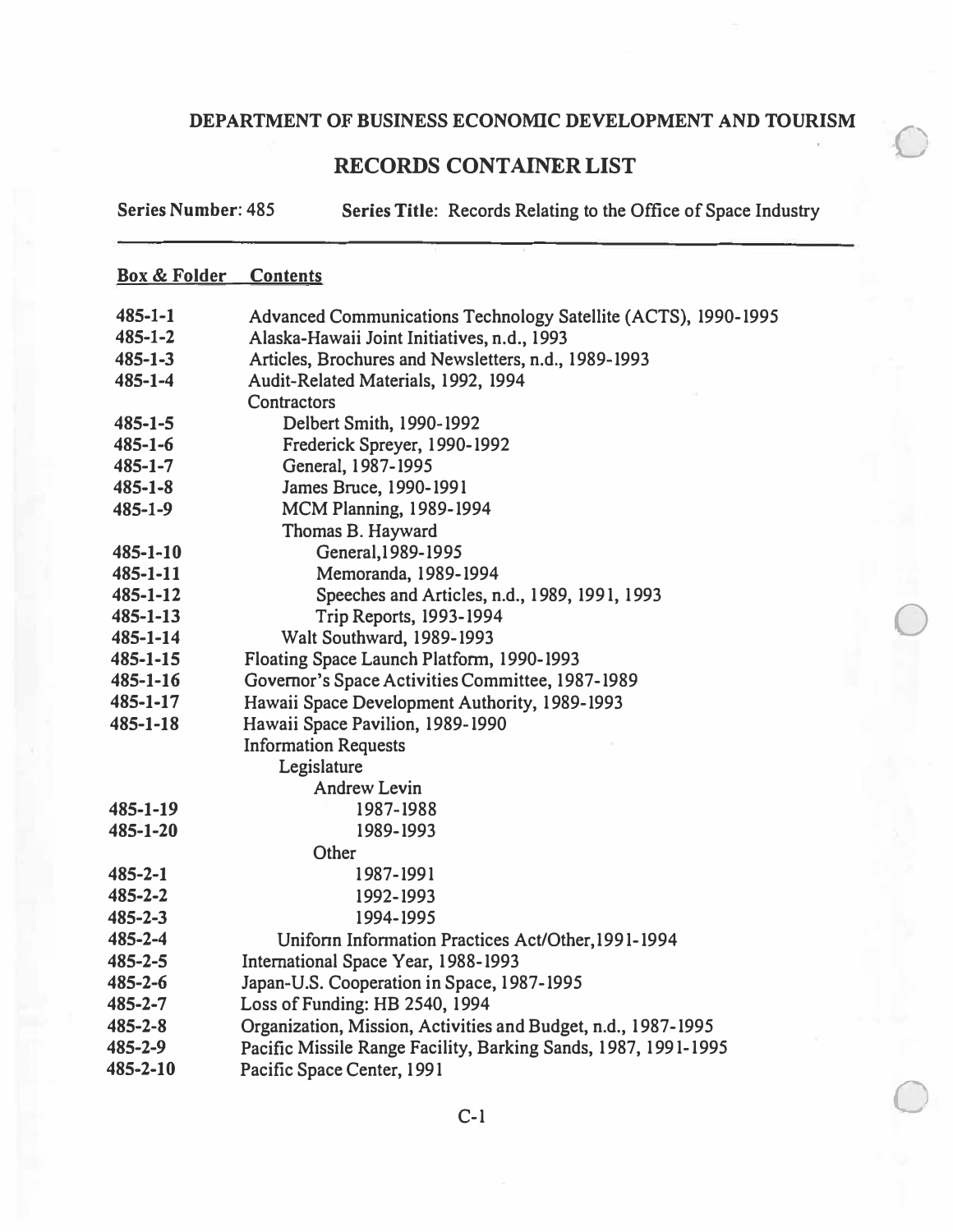$\bigcirc$ 

0

 $\bigcirc$ 

### **RECORDS CONTAINER LIST**

**Series Number:** 485 **Series Title:** Records Relating to the Office of Space Industry

#### **Box & Folder Contents**

| $485 - 1 - 1$  | Advanced Communications Technology Satellite (ACTS), 1990-1995 |
|----------------|----------------------------------------------------------------|
| $485 - 1 - 2$  | Alaska-Hawaii Joint Initiatives, n.d., 1993                    |
| $485 - 1 - 3$  | Articles, Brochures and Newsletters, n.d., 1989-1993           |
| $485 - 1 - 4$  | Audit-Related Materials, 1992, 1994                            |
|                | Contractors                                                    |
| $485 - 1 - 5$  | Delbert Smith, 1990-1992                                       |
| $485 - 1 - 6$  | Frederick Spreyer, 1990-1992                                   |
| $485 - 1 - 7$  | General, 1987-1995                                             |
| $485 - 1 - 8$  | James Bruce, 1990-1991                                         |
| $485 - 1 - 9$  | <b>MCM Planning, 1989-1994</b>                                 |
|                | Thomas B. Hayward                                              |
| $485 - 1 - 10$ | General, 1989-1995                                             |
| $485 - 1 - 11$ | Memoranda, 1989-1994                                           |
| $485 - 1 - 12$ | Speeches and Articles, n.d., 1989, 1991, 1993                  |
| $485 - 1 - 13$ | <b>Trip Reports, 1993-1994</b>                                 |
| $485 - 1 - 14$ | Walt Southward, 1989-1993                                      |
| 485-1-15       | Floating Space Launch Platform, 1990-1993                      |
| $485 - 1 - 16$ | Governor's Space Activities Committee, 1987-1989               |
| 485-1-17       | Hawaii Space Development Authority, 1989-1993                  |
| 485-1-18       | Hawaii Space Pavilion, 1989-1990                               |
|                | <b>Information Requests</b>                                    |
|                | Legislature                                                    |
|                | <b>Andrew Levin</b>                                            |
| 485-1-19       | 1987-1988                                                      |
| 485-1-20       | 1989-1993                                                      |
|                | Other                                                          |
| $485 - 2 - 1$  | 1987-1991                                                      |
| $485 - 2 - 2$  | 1992-1993                                                      |
| $485 - 2 - 3$  | 1994-1995                                                      |
| 485-2-4        | Uniform Information Practices Act/Other, 1991-1994             |
| $485 - 2 - 5$  | International Space Year, 1988-1993                            |
| $485 - 2 - 6$  | Japan-U.S. Cooperation in Space, 1987-1995                     |
| 485-2-7        | Loss of Funding: HB 2540, 1994                                 |
| $485 - 2 - 8$  | Organization, Mission, Activities and Budget, n.d., 1987-1995  |
| 485-2-9        | Pacific Missile Range Facility, Barking Sands, 1987, 1991-1995 |
| 485-2-10       | Pacific Space Center, 1991                                     |